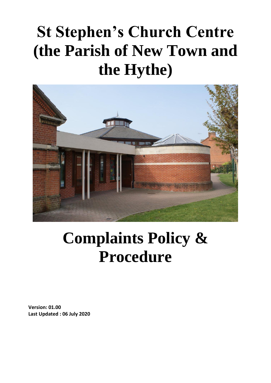# **St Stephen's Church Centre (the Parish of New Town and the Hythe)**



## **Complaints Policy & Procedure**

**Version: 01.00 Last Updated : 06 July 2020**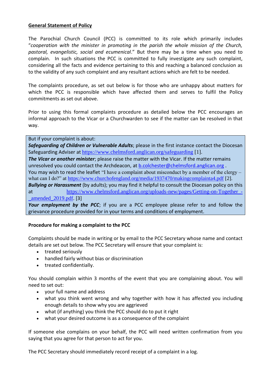### **General Statement of Policy**

The Parochial Church Council (PCC) is committed to its role which primarily includes "*cooperation with the minister in promoting in the parish the whole mission of the Church, pastoral, evangelistic, social and ecumenical*." But there may be a time when you need to complain. In such situations the PCC is committed to fully investigate any such complaint, considering all the facts and evidence pertaining to this and reaching a balanced conclusion as to the validity of any such complaint and any resultant actions which are felt to be needed.

The complaints procedure, as set out below is for those who are unhappy about matters for which the PCC is responsible which have affected them and serves to fulfil the Policy commitments as set out above.

Prior to using this formal complaints procedure as detailed below the PCC encourages an informal approach to the Vicar or a Churchwarden to see if the matter can be resolved in that way.

#### But if your complaint is about:

*Safeguarding of Children or Vulnerable Adults*; please in the first instance contact the Diocesan Safeguarding Adviser at <https://www.chelmsford.anglican.org/safeguarding> [1].

*The Vicar or another minister*; please raise the matter with the Vicar. If the matter remains unresolved you could contact the Archdeacon, at  $b$  colchester@chelmsford.anglican.org.

You may wish to read the leaflet "I have a complaint about misconduct by a member of the clergy – what can I do?" at<https://www.churchofengland.org/media/1937470/makingcomplainta4.pdf> [2].

*Bullying or Harassment* (by adults); you may find it helpful to consult the Diocesan policy on this at https://www.chelmsford.anglican.org/uploads-new/pages/Getting-on-Together-[\\_amended\\_2019.pdf](https://www.chelmsford.anglican.org/uploads-new/pages/Getting-on-Together_-_amended_2019.pdf). [3]

Your employment by the PCC; if you are a PCC employee please refer to and follow the grievance procedure provided for in your terms and conditions of employment.

## **Procedure for making a complaint to the PCC**

Complaints should be made in writing or by email to the PCC Secretary whose name and contact details are set out below. The PCC Secretary will ensure that your complaint is:

- treated seriously
- handled fairly without bias or discrimination
- treated confidentially.

You should complain within 3 months of the event that you are complaining about. You will need to set out:

- your full name and address
- what you think went wrong and why together with how it has affected you including enough details to show why you are aggrieved
- what (if anything) you think the PCC should do to put it right
- what your desired outcome is as a consequence of the complaint

If someone else complains on your behalf, the PCC will need written confirmation from you saying that you agree for that person to act for you.

The PCC Secretary should immediately record receipt of a complaint in a log.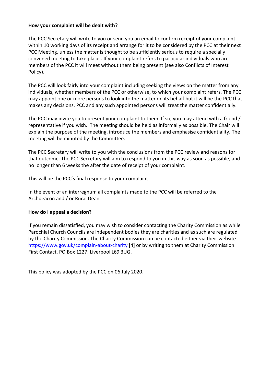#### **How your complaint will be dealt with?**

The PCC Secretary will write to you or send you an email to confirm receipt of your complaint within 10 working days of its receipt and arrange for it to be considered by the PCC at their next PCC Meeting, unless the matter is thought to be sufficiently serious to require a specially convened meeting to take place.. If your complaint refers to particular individuals who are members of the PCC it will meet without them being present (see also Conflicts of Interest Policy).

The PCC will look fairly into your complaint including seeking the views on the matter from any individuals, whether members of the PCC or otherwise, to which your complaint refers. The PCC may appoint one or more persons to look into the matter on its behalf but it will be the PCC that makes any decisions. PCC and any such appointed persons will treat the matter confidentially.

The PCC may invite you to present your complaint to them. If so, you may attend with a friend / representative if you wish. The meeting should be held as informally as possible. The Chair will explain the purpose of the meeting, introduce the members and emphasise confidentiality. The meeting will be minuted by the Committee.

The PCC Secretary will write to you with the conclusions from the PCC review and reasons for that outcome. The PCC Secretary will aim to respond to you in this way as soon as possible, and no longer than 6 weeks the after the date of receipt of your complaint.

This will be the PCC's final response to your complaint.

In the event of an interregnum all complaints made to the PCC will be referred to the Archdeacon and / or Rural Dean

#### **How do I appeal a decision?**

If you remain dissatisfied, you may wish to consider contacting the Charity Commission as while Parochial Church Councils are independent bodies they are charities and as such are regulated by the Charity Commission. The Charity Commission can be contacted either via their website <https://www.gov.uk/complain-about-charity> [4] or by writing to them at Charity Commission First Contact, PO Box 1227, Liverpool L69 3UG.

This policy was adopted by the PCC on 06 July 2020.